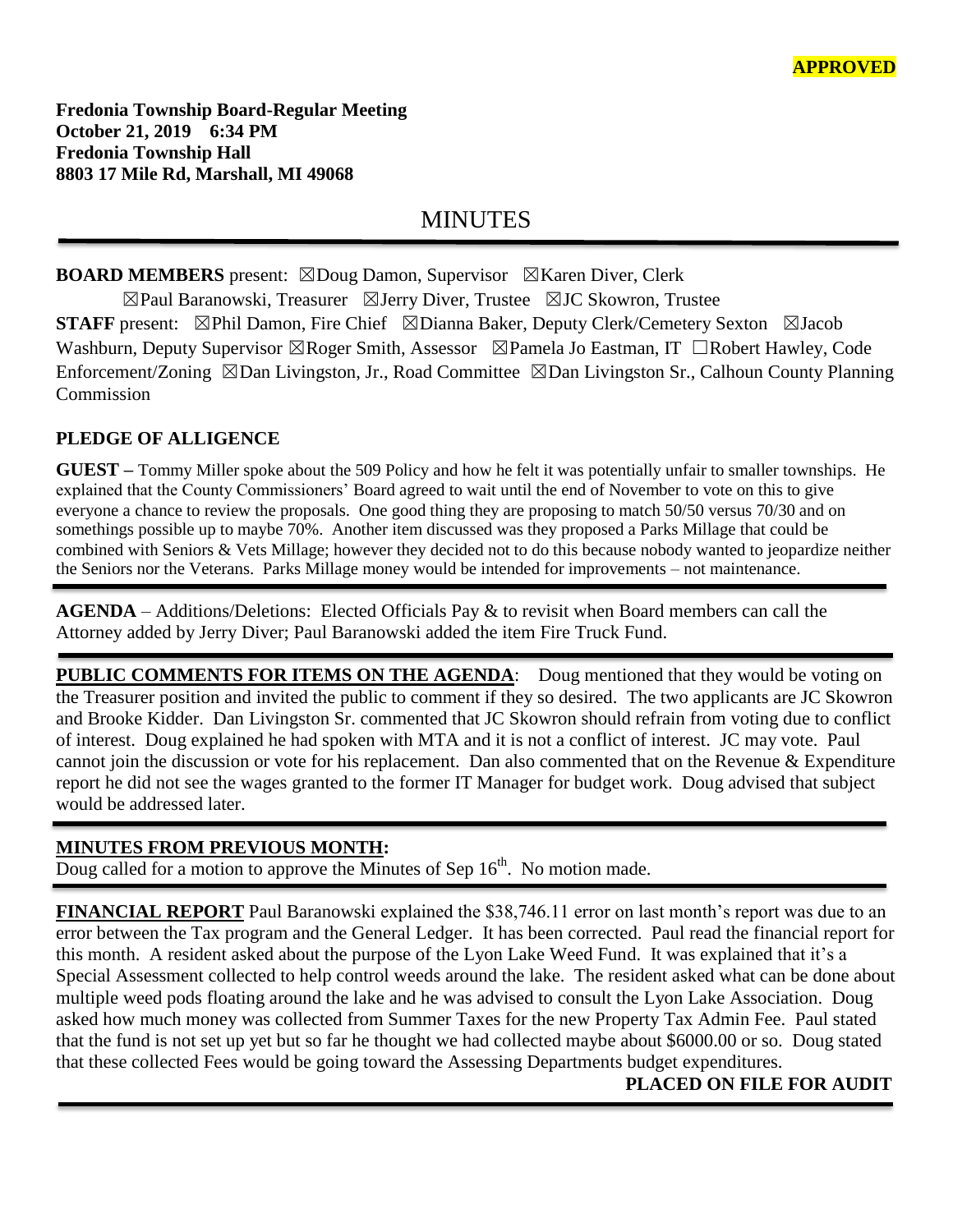**Fredonia Township Board-Regular Meeting October 21, 2019 6:34 PM Fredonia Township Hall 8803 17 Mile Rd, Marshall, MI 49068**

# MINUTES

## **BOARD MEMBERS** present: ☒Doug Damon, Supervisor ☒Karen Diver, Clerk

☒Paul Baranowski, Treasurer ☒Jerry Diver, Trustee ☒JC Skowron, Trustee **STAFF** present: ⊠Phil Damon, Fire Chief ⊠Dianna Baker, Deputy Clerk/Cemetery Sexton ⊠Jacob Washburn, Deputy Supervisor ⊠Roger Smith, Assessor ⊠Pamela Jo Eastman, IT □Robert Hawley, Code Enforcement/Zoning ☒Dan Livingston, Jr., Road Committee ☒Dan Livingston Sr., Calhoun County Planning Commission

## **PLEDGE OF ALLIGENCE**

**GUEST –** Tommy Miller spoke about the 509 Policy and how he felt it was potentially unfair to smaller townships. He explained that the County Commissioners' Board agreed to wait until the end of November to vote on this to give everyone a chance to review the proposals. One good thing they are proposing to match 50/50 versus 70/30 and on somethings possible up to maybe 70%. Another item discussed was they proposed a Parks Millage that could be combined with Seniors & Vets Millage; however they decided not to do this because nobody wanted to jeopardize neither the Seniors nor the Veterans. Parks Millage money would be intended for improvements – not maintenance.

**AGENDA** – Additions/Deletions: Elected Officials Pay & to revisit when Board members can call the Attorney added by Jerry Diver; Paul Baranowski added the item Fire Truck Fund.

**PUBLIC COMMENTS FOR ITEMS ON THE AGENDA**: Doug mentioned that they would be voting on the Treasurer position and invited the public to comment if they so desired. The two applicants are JC Skowron and Brooke Kidder. Dan Livingston Sr. commented that JC Skowron should refrain from voting due to conflict of interest. Doug explained he had spoken with MTA and it is not a conflict of interest. JC may vote. Paul cannot join the discussion or vote for his replacement. Dan also commented that on the Revenue & Expenditure report he did not see the wages granted to the former IT Manager for budget work. Doug advised that subject would be addressed later.

## **MINUTES FROM PREVIOUS MONTH:**

Doug called for a motion to approve the Minutes of Sep  $16<sup>th</sup>$ . No motion made.

 **FINANCIAL REPORT** Paul Baranowski explained the \$38,746.11 error on last month's report was due to an error between the Tax program and the General Ledger. It has been corrected. Paul read the financial report for this month. A resident asked about the purpose of the Lyon Lake Weed Fund. It was explained that it's a Special Assessment collected to help control weeds around the lake. The resident asked what can be done about multiple weed pods floating around the lake and he was advised to consult the Lyon Lake Association. Doug asked how much money was collected from Summer Taxes for the new Property Tax Admin Fee. Paul stated that the fund is not set up yet but so far he thought we had collected maybe about \$6000.00 or so. Doug stated that these collected Fees would be going toward the Assessing Departments budget expenditures.

### **PLACED ON FILE FOR AUDIT**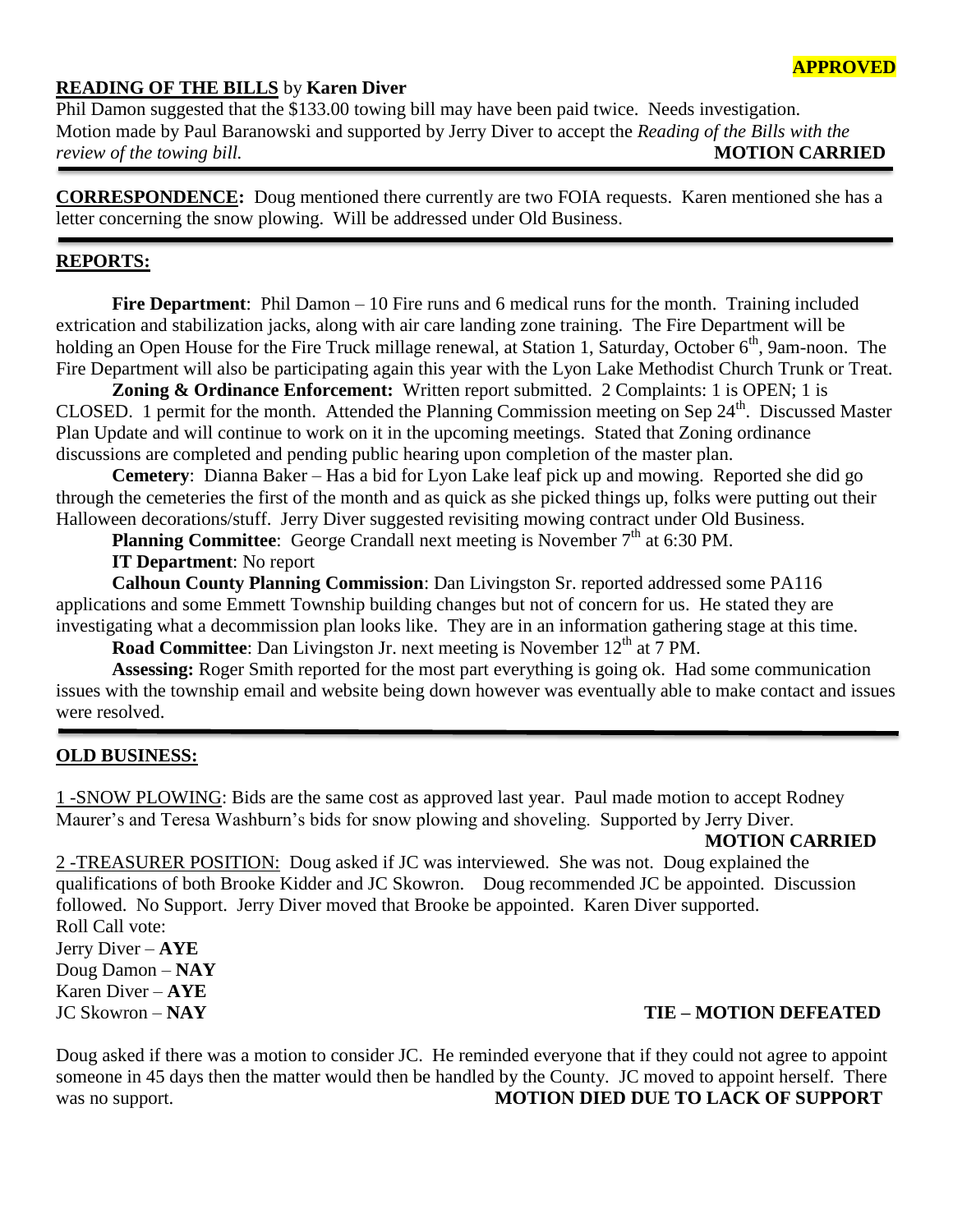### **READING OF THE BILLS** by **Karen Diver**

Phil Damon suggested that the \$133.00 towing bill may have been paid twice. Needs investigation. Motion made by Paul Baranowski and supported by Jerry Diver to accept the *Reading of the Bills with the review of the towing bill.* All *noise and the seriew of the towing bill.* All *noise and the MOTION CARRIED* 

**CORRESPONDENCE:** Doug mentioned there currently are two FOIA requests. Karen mentioned she has a letter concerning the snow plowing. Will be addressed under Old Business.

#### **REPORTS:**

**Fire Department**: Phil Damon – 10 Fire runs and 6 medical runs for the month. Training included extrication and stabilization jacks, along with air care landing zone training. The Fire Department will be holding an Open House for the Fire Truck millage renewal, at Station 1, Saturday, October 6<sup>th</sup>, 9am-noon. The Fire Department will also be participating again this year with the Lyon Lake Methodist Church Trunk or Treat.

**Zoning & Ordinance Enforcement:** Written report submitted. 2 Complaints: 1 is OPEN; 1 is CLOSED. 1 permit for the month. Attended the Planning Commission meeting on Sep 24<sup>th</sup>. Discussed Master Plan Update and will continue to work on it in the upcoming meetings. Stated that Zoning ordinance discussions are completed and pending public hearing upon completion of the master plan.

**Cemetery**: Dianna Baker – Has a bid for Lyon Lake leaf pick up and mowing. Reported she did go through the cemeteries the first of the month and as quick as she picked things up, folks were putting out their Halloween decorations/stuff. Jerry Diver suggested revisiting mowing contract under Old Business.

**Planning Committee**: George Crandall next meeting is November 7<sup>th</sup> at 6:30 PM.

**IT Department**: No report

**Calhoun County Planning Commission**: Dan Livingston Sr. reported addressed some PA116 applications and some Emmett Township building changes but not of concern for us. He stated they are investigating what a decommission plan looks like. They are in an information gathering stage at this time.

**Road Committee**: Dan Livingston Jr. next meeting is November 12<sup>th</sup> at 7 PM.

**Assessing:** Roger Smith reported for the most part everything is going ok. Had some communication issues with the township email and website being down however was eventually able to make contact and issues were resolved.

#### **OLD BUSINESS:**

1 -SNOW PLOWING: Bids are the same cost as approved last year. Paul made motion to accept Rodney Maurer's and Teresa Washburn's bids for snow plowing and shoveling. Supported by Jerry Diver.

#### **MOTION CARRIED**

2 -TREASURER POSITION:Doug asked if JC was interviewed. She was not. Doug explained the qualifications of both Brooke Kidder and JC Skowron. Doug recommended JC be appointed. Discussion followed. No Support. Jerry Diver moved that Brooke be appointed. Karen Diver supported. Roll Call vote: Jerry Diver – **AYE** Doug Damon – **NAY** Karen Diver – **AYE**

#### JC Skowron – **NAY TIE – MOTION DEFEATED**

Doug asked if there was a motion to consider JC. He reminded everyone that if they could not agree to appoint someone in 45 days then the matter would then be handled by the County. JC moved to appoint herself. There was no support. **MOTION DIED DUE TO LACK OF SUPPORT**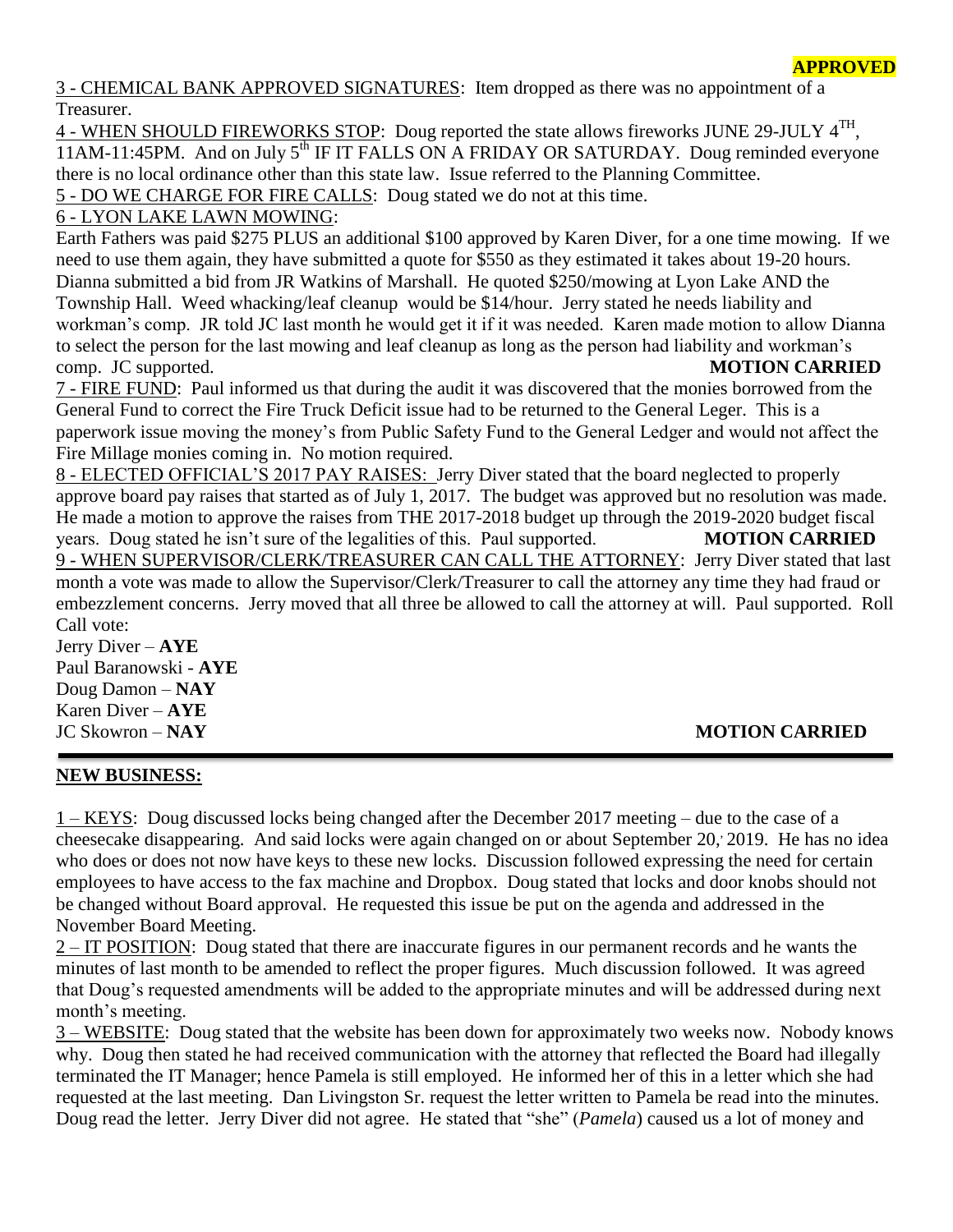3 - CHEMICAL BANK APPROVED SIGNATURES: Item dropped as there was no appointment of a Treasurer.

4 - WHEN SHOULD FIREWORKS STOP: Doug reported the state allows fireworks JUNE 29-JULY  $4^{TH}$ , 11AM-11:45PM. And on July 5<sup>th</sup> IF IT FALLS ON A FRIDAY OR SATURDAY. Doug reminded everyone there is no local ordinance other than this state law. Issue referred to the Planning Committee. 5 - DO WE CHARGE FOR FIRE CALLS: Doug stated we do not at this time.

## 6 - LYON LAKE LAWN MOWING:

Earth Fathers was paid \$275 PLUS an additional \$100 approved by Karen Diver, for a one time mowing. If we need to use them again, they have submitted a quote for \$550 as they estimated it takes about 19-20 hours. Dianna submitted a bid from JR Watkins of Marshall. He quoted \$250/mowing at Lyon Lake AND the Township Hall. Weed whacking/leaf cleanup would be \$14/hour. Jerry stated he needs liability and workman's comp. JR told JC last month he would get it if it was needed. Karen made motion to allow Dianna to select the person for the last mowing and leaf cleanup as long as the person had liability and workman's comp. JC supported. **MOTION CARRIED**

7 - FIRE FUND: Paul informed us that during the audit it was discovered that the monies borrowed from the General Fund to correct the Fire Truck Deficit issue had to be returned to the General Leger. This is a paperwork issue moving the money's from Public Safety Fund to the General Ledger and would not affect the Fire Millage monies coming in. No motion required.

8 - ELECTED OFFICIAL'S 2017 PAY RAISES: Jerry Diver stated that the board neglected to properly approve board pay raises that started as of July 1, 2017. The budget was approved but no resolution was made. He made a motion to approve the raises from THE 2017-2018 budget up through the 2019-2020 budget fiscal years. Doug stated he isn't sure of the legalities of this. Paul supported. **MOTION CARRIED** 9 - WHEN SUPERVISOR/CLERK/TREASURER CAN CALL THE ATTORNEY: Jerry Diver stated that last month a vote was made to allow the Supervisor/Clerk/Treasurer to call the attorney any time they had fraud or embezzlement concerns. Jerry moved that all three be allowed to call the attorney at will. Paul supported. Roll Call vote:

Jerry Diver – **AYE** Paul Baranowski - **AYE** Doug Damon – **NAY** Karen Diver – **AYE JC Skowron – NAY MOTION CARRIED** 

## **NEW BUSINESS:**

1 – KEYS: Doug discussed locks being changed after the December 2017 meeting – due to the case of a cheesecake disappearing. And said locks were again changed on or about September 20, 2019. He has no idea who does or does not now have keys to these new locks. Discussion followed expressing the need for certain employees to have access to the fax machine and Dropbox. Doug stated that locks and door knobs should not be changed without Board approval. He requested this issue be put on the agenda and addressed in the November Board Meeting.

2 – IT POSITION: Doug stated that there are inaccurate figures in our permanent records and he wants the minutes of last month to be amended to reflect the proper figures. Much discussion followed. It was agreed that Doug's requested amendments will be added to the appropriate minutes and will be addressed during next month's meeting.

3 – WEBSITE: Doug stated that the website has been down for approximately two weeks now. Nobody knows why. Doug then stated he had received communication with the attorney that reflected the Board had illegally terminated the IT Manager; hence Pamela is still employed. He informed her of this in a letter which she had requested at the last meeting. Dan Livingston Sr. request the letter written to Pamela be read into the minutes. Doug read the letter. Jerry Diver did not agree. He stated that "she" (*Pamela*) caused us a lot of money and